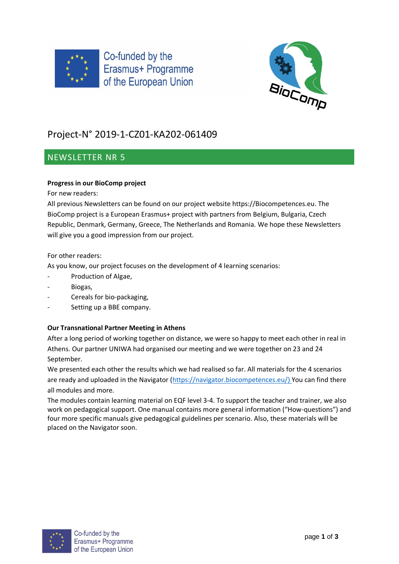



# Project-N° 2019-1-CZ01-KA202-061409

# NEWSLETTER NR 5

# **Progress in our BioComp project**

For new readers:

All previous Newsletters can be found on our project website https://Biocompetences.eu. The BioComp project is a European Erasmus+ project with partners from Belgium, Bulgaria, Czech Republic, Denmark, Germany, Greece, The Netherlands and Romania. We hope these Newsletters will give you a good impression from our project.

For other readers:

As you know, our project focuses on the development of 4 learning scenarios:

- Production of Algae,
- Biogas,
- Cereals for bio-packaging,
- Setting up a BBE company.

### **Our Transnational Partner Meeting in Athens**

After a long period of working together on distance, we were so happy to meet each other in real in Athens. Our partner UNIWA had organised our meeting and we were together on 23 and 24 September.

We presented each other the results which we had realised so far. All materials for the 4 scenarios are ready and uploaded in the Navigator [\(https://navigator.biocompetences.eu/\)](https://navigator.biocompetences.eu/) You can find there all modules and more.

The modules contain learning material on EQF level 3-4. To support the teacher and trainer, we also work on pedagogical support. One manual contains more general information ("How-questions") and four more specific manuals give pedagogical guidelines per scenario. Also, these materials will be placed on the Navigator soon.

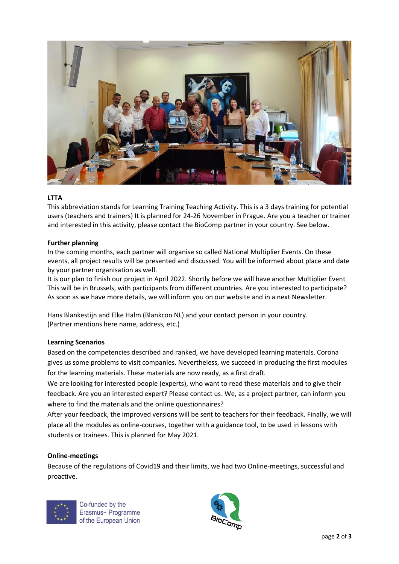

#### **LTTA**

This abbreviation stands for Learning Training Teaching Activity. This is a 3 days training for potential users (teachers and trainers) It is planned for 24-26 November in Prague. Are you a teacher or trainer and interested in this activity, please contact the BioComp partner in your country. See below.

#### **Further planning**

In the coming months, each partner will organise so called National Multiplier Events. On these events, all project results will be presented and discussed. You will be informed about place and date by your partner organisation as well.

It is our plan to finish our project in April 2022. Shortly before we will have another Multiplier Event This will be in Brussels, with participants from different countries. Are you interested to participate? As soon as we have more details, we will inform you on our website and in a next Newsletter.

Hans Blankestijn and Elke Halm (Blankcon NL) and your contact person in your country. (Partner mentions here name, address, etc.)

#### **Learning Scenarios**

Based on the competencies described and ranked, we have developed learning materials. Corona gives us some problems to visit companies. Nevertheless, we succeed in producing the first modules for the learning materials. These materials are now ready, as a first draft.

We are looking for interested people (experts), who want to read these materials and to give their feedback. Are you an interested expert? Please contact us. We, as a project partner, can inform you where to find the materials and the online questionnaires?

After your feedback, the improved versions will be sent to teachers for their feedback. Finally, we will place all the modules as online-courses, together with a guidance tool, to be used in lessons with students or trainees. This is planned for May 2021.

#### **Online-meetings**

Because of the regulations of Covid19 and their limits, we had two Online-meetings, successful and proactive.